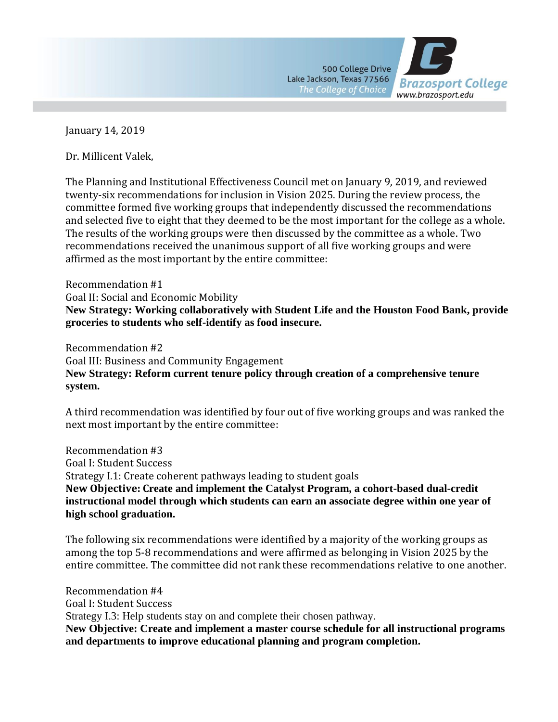

January 14, 2019

Dr. Millicent Valek,

The Planning and Institutional Effectiveness Council met on January 9, 2019, and reviewed twenty-six recommendations for inclusion in Vision 2025. During the review process, the committee formed five working groups that independently discussed the recommendations and selected five to eight that they deemed to be the most important for the college as a whole. The results of the working groups were then discussed by the committee as a whole. Two recommendations received the unanimous support of all five working groups and were affirmed as the most important by the entire committee:

Recommendation #1 Goal II: Social and Economic Mobility **New Strategy: Working collaboratively with Student Life and the Houston Food Bank, provide groceries to students who self-identify as food insecure.**

Recommendation #2 Goal III: Business and Community Engagement **New Strategy: Reform current tenure policy through creation of a comprehensive tenure system.**

A third recommendation was identified by four out of five working groups and was ranked the next most important by the entire committee:

Recommendation #3 Goal I: Student Success Strategy I.1: Create coherent pathways leading to student goals **New Objective: Create and implement the Catalyst Program, a cohort-based dual-credit instructional model through which students can earn an associate degree within one year of high school graduation.**

The following six recommendations were identified by a majority of the working groups as among the top 5-8 recommendations and were affirmed as belonging in Vision 2025 by the entire committee. The committee did not rank these recommendations relative to one another.

Recommendation #4 Goal I: Student Success Strategy I.3: Help students stay on and complete their chosen pathway. **New Objective: Create and implement a master course schedule for all instructional programs and departments to improve educational planning and program completion.**